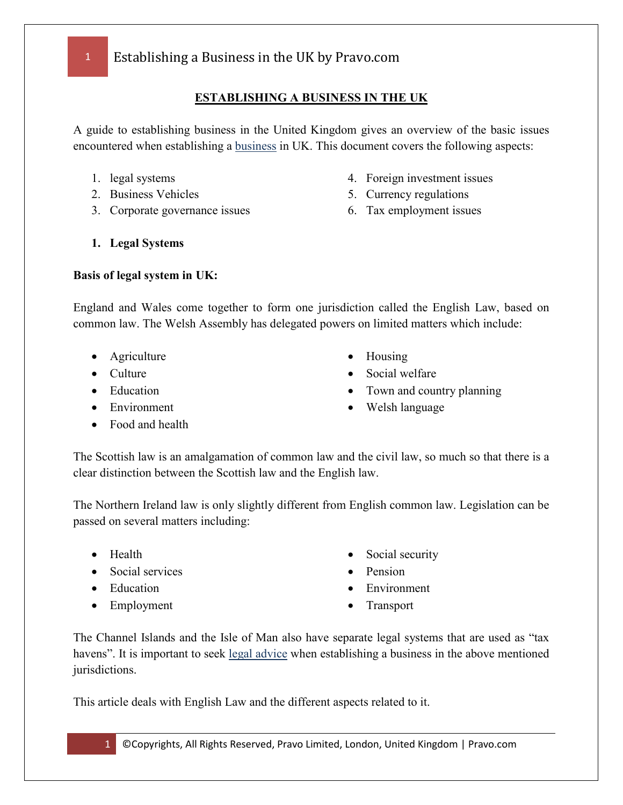### **ESTABLISHING A BUSINESS IN THE UK**

A guide to establishing business in the United Kingdom gives an overview of the basic issues encountered when establishing a [business](http://www.businessuk.com/) in UK. This document covers the following aspects:

- 1. legal systems
- 2. Business Vehicles
- 3. Corporate governance issues
- 4. Foreign investment issues
- 5. Currency regulations
- 6. Tax employment issues

**1. Legal Systems**

### **Basis of legal system in UK:**

England and Wales come together to form one jurisdiction called the English Law, based on common law. The Welsh Assembly has delegated powers on limited matters which include:

- Agriculture
- Culture
- Education
- Environment
- Food and health
- Housing
- Social welfare
- Town and country planning
- Welsh language

The Scottish law is an amalgamation of common law and the civil law, so much so that there is a clear distinction between the Scottish law and the English law.

The Northern Ireland law is only slightly different from English common law. Legislation can be passed on several matters including:

- Health
- Social services
- Education
- Employment
- Social security
- Pension
- **Environment**
- **Transport**

The Channel Islands and the Isle of Man also have separate legal systems that are used as "tax havens". It is important to seek [legal advice](http://www.mylawyers.com/) when establishing a business in the above mentioned jurisdictions.

This article deals with English Law and the different aspects related to it.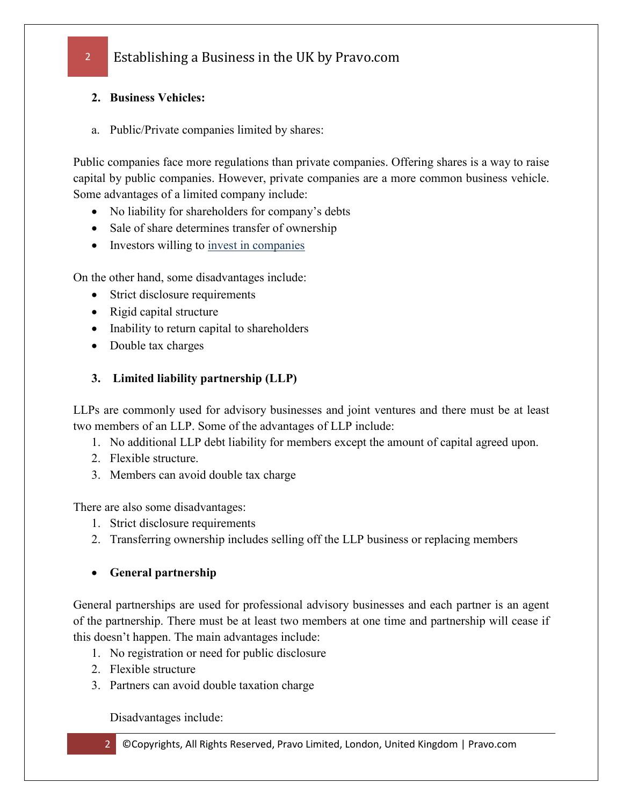### **2. Business Vehicles:**

a. Public/Private companies limited by shares:

Public companies face more regulations than private companies. Offering shares is a way to raise capital by public companies. However, private companies are a more common business vehicle. Some advantages of a limited company include:

- No liability for shareholders for company's debts
- Sale of share determines transfer of ownership
- Investors willing to <u>invest in companies</u>

On the other hand, some disadvantages include:

- Strict disclosure requirements
- Rigid capital structure
- Inability to return capital to shareholders
- Double tax charges

### **3. Limited liability partnership (LLP)**

LLPs are commonly used for advisory businesses and joint ventures and there must be at least two members of an LLP. Some of the advantages of LLP include:

- 1. No additional LLP debt liability for members except the amount of capital agreed upon.
- 2. Flexible structure.
- 3. Members can avoid double tax charge

There are also some disadvantages:

- 1. Strict disclosure requirements
- 2. Transferring ownership includes selling off the LLP business or replacing members
- **General partnership**

General partnerships are used for professional advisory businesses and each partner is an agent of the partnership. There must be at least two members at one time and partnership will cease if this doesn't happen. The main advantages include:

- 1. No registration or need for public disclosure
- 2. Flexible structure
- 3. Partners can avoid double taxation charge

Disadvantages include: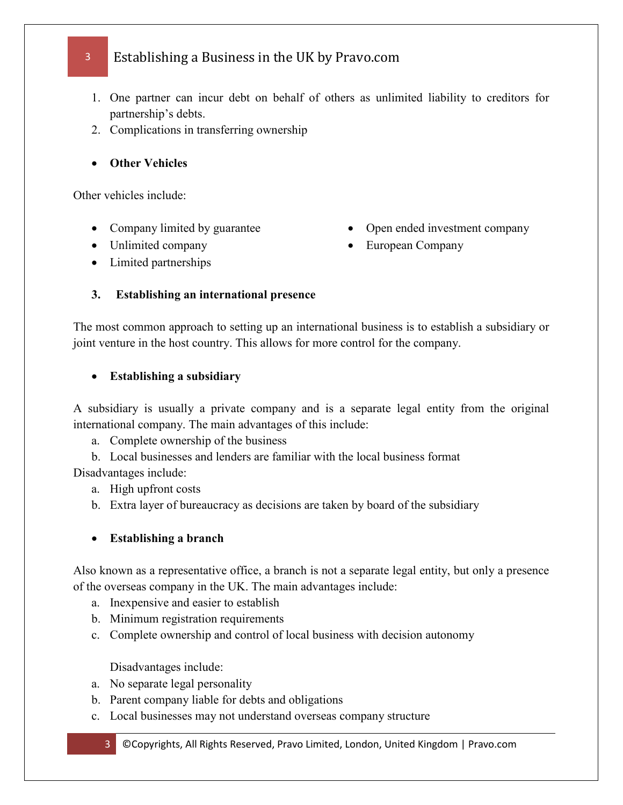- 1. One partner can incur debt on behalf of others as unlimited liability to creditors for partnership's debts.
- 2. Complications in transferring ownership
- **Other Vehicles**

Other vehicles include:

- Company limited by guarantee
- Unlimited company
- Open ended investment company
- European Company

• Limited partnerships

### **3. Establishing an international presence**

The most common approach to setting up an international business is to establish a subsidiary or joint venture in the host country. This allows for more control for the company.

### • **Establishing a subsidiary**

A subsidiary is usually a private company and is a separate legal entity from the original international company. The main advantages of this include:

- a. Complete ownership of the business
- b. Local businesses and lenders are familiar with the local business format

Disadvantages include:

- a. High upfront costs
- b. Extra layer of bureaucracy as decisions are taken by board of the subsidiary

### • **Establishing a branch**

Also known as a representative office, a branch is not a separate legal entity, but only a presence of the overseas company in the UK. The main advantages include:

- a. Inexpensive and easier to establish
- b. Minimum registration requirements
- c. Complete ownership and control of local business with decision autonomy

Disadvantages include:

- a. No separate legal personality
- b. Parent company liable for debts and obligations
- c. Local businesses may not understand overseas company structure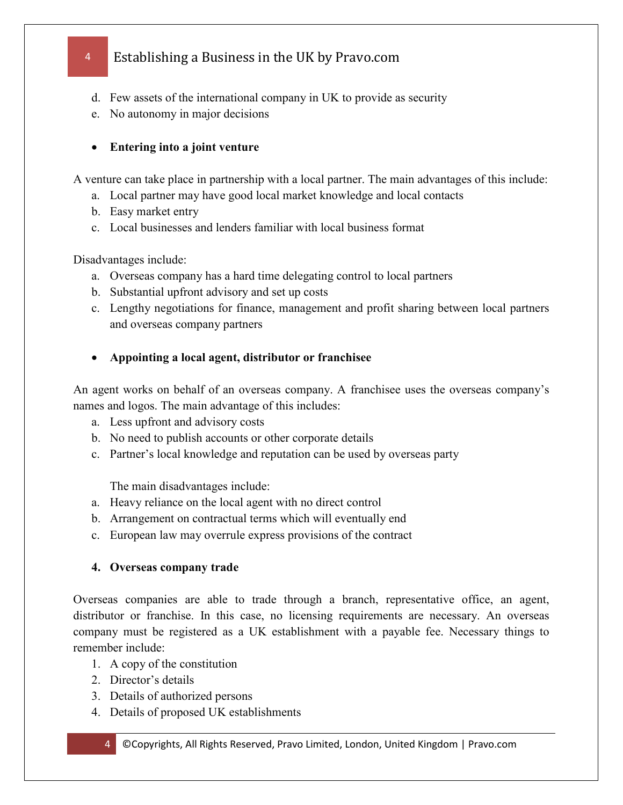- d. Few assets of the international company in UK to provide as security
- e. No autonomy in major decisions

### • **Entering into a joint venture**

A venture can take place in partnership with a local partner. The main advantages of this include:

- a. Local partner may have good local market knowledge and local contacts
- b. Easy market entry
- c. Local businesses and lenders familiar with local business format

Disadvantages include:

- a. Overseas company has a hard time delegating control to local partners
- b. Substantial upfront advisory and set up costs
- c. Lengthy negotiations for finance, management and profit sharing between local partners and overseas company partners
- **Appointing a local agent, distributor or franchisee**

An agent works on behalf of an overseas company. A franchisee uses the overseas company's names and logos. The main advantage of this includes:

- a. Less upfront and advisory costs
- b. No need to publish accounts or other corporate details
- c. Partner's local knowledge and reputation can be used by overseas party

The main disadvantages include:

- a. Heavy reliance on the local agent with no direct control
- b. Arrangement on contractual terms which will eventually end
- c. European law may overrule express provisions of the contract

### **4. Overseas company trade**

Overseas companies are able to trade through a branch, representative office, an agent, distributor or franchise. In this case, no licensing requirements are necessary. An overseas company must be registered as a UK establishment with a payable fee. Necessary things to remember include:

- 1. A copy of the constitution
- 2. Director's details
- 3. Details of authorized persons
- 4. Details of proposed UK establishments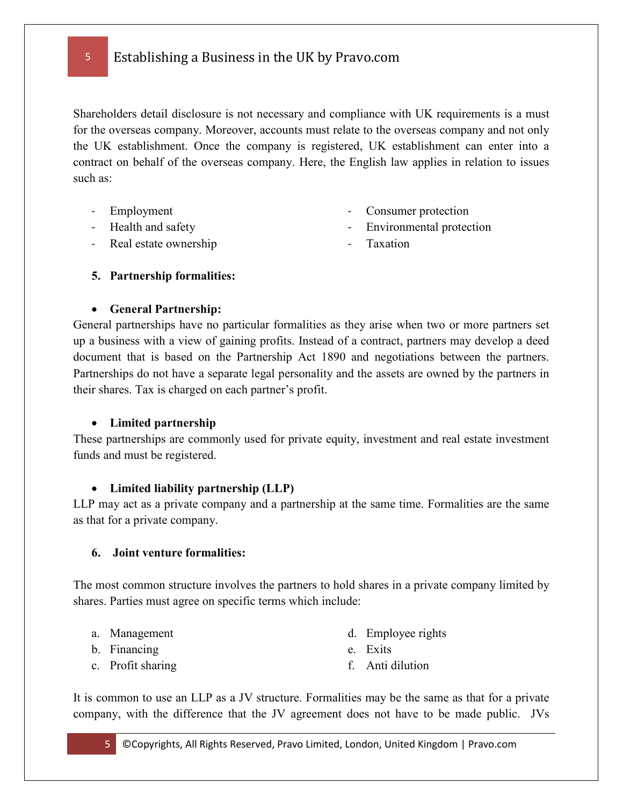Shareholders detail disclosure is not necessary and compliance with UK requirements is a must for the overseas company. Moreover, accounts must relate to the overseas company and not only the UK establishment. Once the company is registered, UK establishment can enter into a contract on behalf of the overseas company. Here, the English law applies in relation to issues such as:

- Employment
- Health and safety
- Consumer protection
- Environmental protection

- Real estate ownership

- Taxation

### **5. Partnership formalities:**

#### • **General Partnership:**

General partnerships have no particular formalities as they arise when two or more partners set up a business with a view of gaining profits. Instead of a contract, partners may develop a deed document that is based on the Partnership Act 1890 and negotiations between the partners. Partnerships do not have a separate legal personality and the assets are owned by the partners in their shares. Tax is charged on each partner's profit.

#### • **Limited partnership**

These partnerships are commonly used for private equity, investment and real estate investment funds and must be registered.

### • **Limited liability partnership (LLP)**

LLP may act as a private company and a partnership at the same time. Formalities are the same as that for a private company.

#### **6. Joint venture formalities:**

The most common structure involves the partners to hold shares in a private company limited by shares. Parties must agree on specific terms which include:

- a. Management
- b. Financing
- c. Profit sharing
- d. Employee rights
- e. Exits
- f. Anti dilution

It is common to use an LLP as a JV structure. Formalities may be the same as that for a private company, with the difference that the JV agreement does not have to be made public. JVs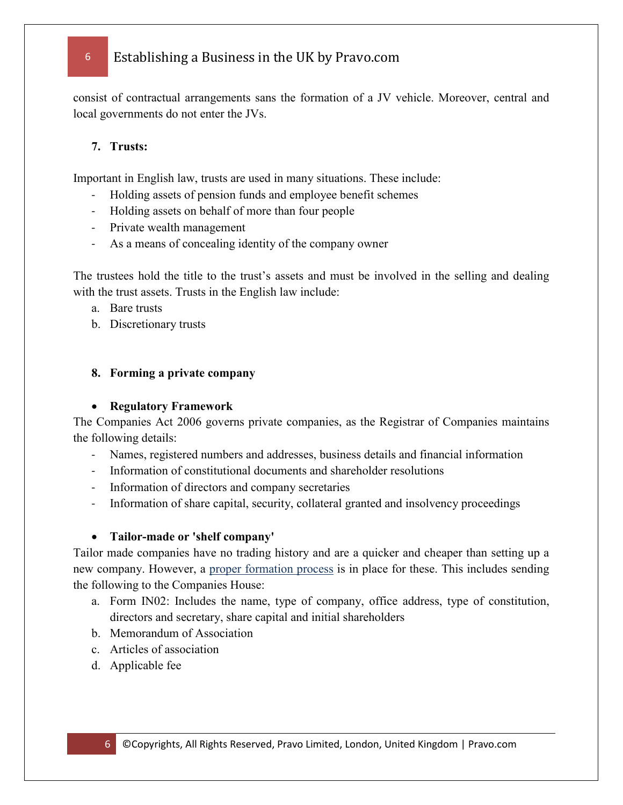consist of contractual arrangements sans the formation of a JV vehicle. Moreover, central and local governments do not enter the JVs.

### **7. Trusts:**

Important in English law, trusts are used in many situations. These include:

- Holding assets of pension funds and employee benefit schemes
- Holding assets on behalf of more than four people
- Private wealth management
- As a means of concealing identity of the company owner

The trustees hold the title to the trust's assets and must be involved in the selling and dealing with the trust assets. Trusts in the English law include:

- a. Bare trusts
- b. Discretionary trusts

#### **8. Forming a private company**

#### • **Regulatory Framework**

The Companies Act 2006 governs private companies, as the Registrar of Companies maintains the following details:

- Names, registered numbers and addresses, business details and financial information
- Information of constitutional documents and shareholder resolutions
- Information of directors and company secretaries
- Information of share capital, security, collateral granted and insolvency proceedings

#### • **Tailor-made or 'shelf company'**

Tailor made companies have no trading history and are a quicker and cheaper than setting up a new company. However, a [proper formation process](http://pravo.com/uk-corporate-services/) is in place for these. This includes sending the following to the Companies House:

- a. Form IN02: Includes the name, type of company, office address, type of constitution, directors and secretary, share capital and initial shareholders
- b. Memorandum of Association
- c. Articles of association
- d. Applicable fee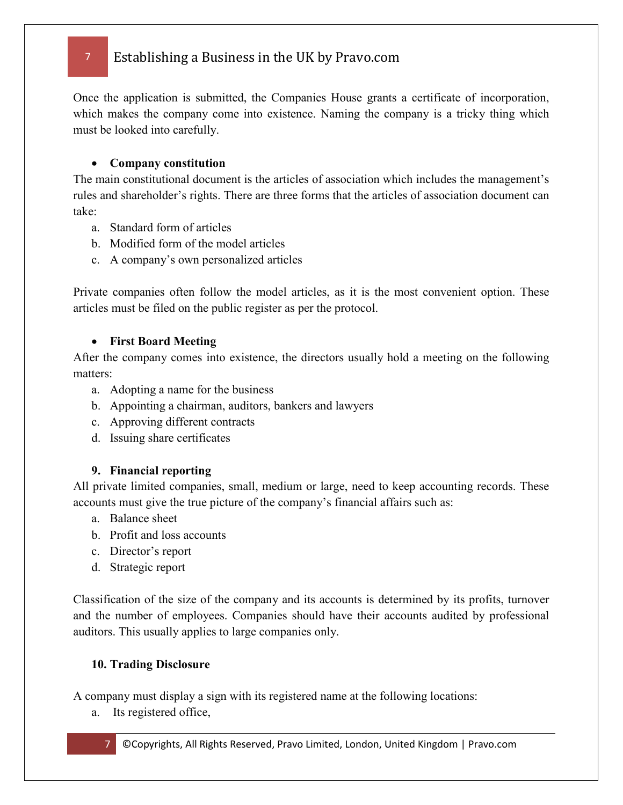Once the application is submitted, the Companies House grants a certificate of incorporation, which makes the company come into existence. Naming the company is a tricky thing which must be looked into carefully.

#### • **Company constitution**

The main constitutional document is the articles of association which includes the management's rules and shareholder's rights. There are three forms that the articles of association document can take:

- a. Standard form of articles
- b. Modified form of the model articles
- c. A company's own personalized articles

Private companies often follow the model articles, as it is the most convenient option. These articles must be filed on the public register as per the protocol.

### • **First Board Meeting**

After the company comes into existence, the directors usually hold a meeting on the following matters:

- a. Adopting a name for the business
- b. Appointing a chairman, auditors, bankers and lawyers
- c. Approving different contracts
- d. Issuing share certificates

### **9. Financial reporting**

All private limited companies, small, medium or large, need to keep accounting records. These accounts must give the true picture of the company's financial affairs such as:

- a. Balance sheet
- b. Profit and loss accounts
- c. Director's report
- d. Strategic report

Classification of the size of the company and its accounts is determined by its profits, turnover and the number of employees. Companies should have their accounts audited by professional auditors. This usually applies to large companies only.

#### **10. Trading Disclosure**

A company must display a sign with its registered name at the following locations:

a. Its registered office,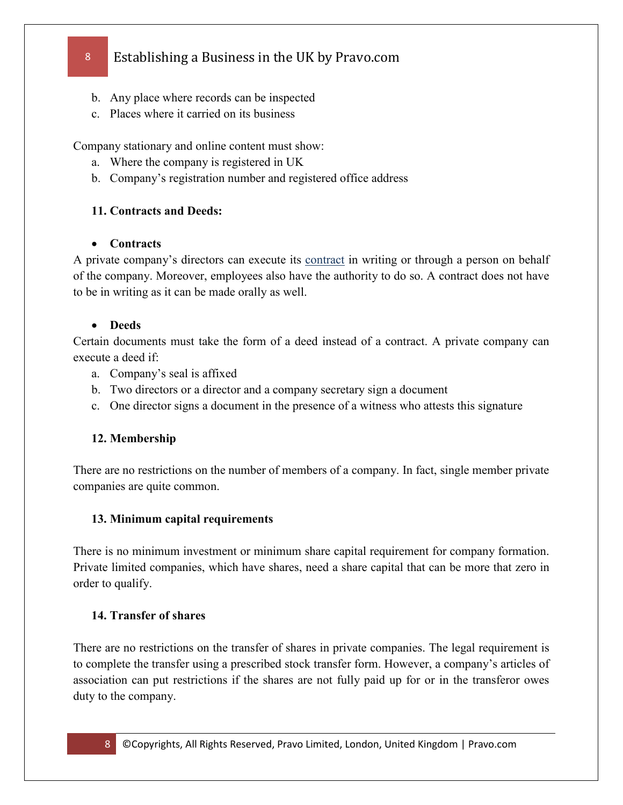- b. Any place where records can be inspected
- c. Places where it carried on its business

Company stationary and online content must show:

- a. Where the company is registered in UK
- b. Company's registration number and registered office address

### **11. Contracts and Deeds:**

### • **Contracts**

A private company's directors can execute its [contract](http://pravo.com/uk-legal-services/) in writing or through a person on behalf of the company. Moreover, employees also have the authority to do so. A contract does not have to be in writing as it can be made orally as well.

### • **Deeds**

Certain documents must take the form of a deed instead of a contract. A private company can execute a deed if:

- a. Company's seal is affixed
- b. Two directors or a director and a company secretary sign a document
- c. One director signs a document in the presence of a witness who attests this signature

## **12. Membership**

There are no restrictions on the number of members of a company. In fact, single member private companies are quite common.

### **13. Minimum capital requirements**

There is no minimum investment or minimum share capital requirement for company formation. Private limited companies, which have shares, need a share capital that can be more that zero in order to qualify.

### **14. Transfer of shares**

There are no restrictions on the transfer of shares in private companies. The legal requirement is to complete the transfer using a prescribed stock transfer form. However, a company's articles of association can put restrictions if the shares are not fully paid up for or in the transferor owes duty to the company.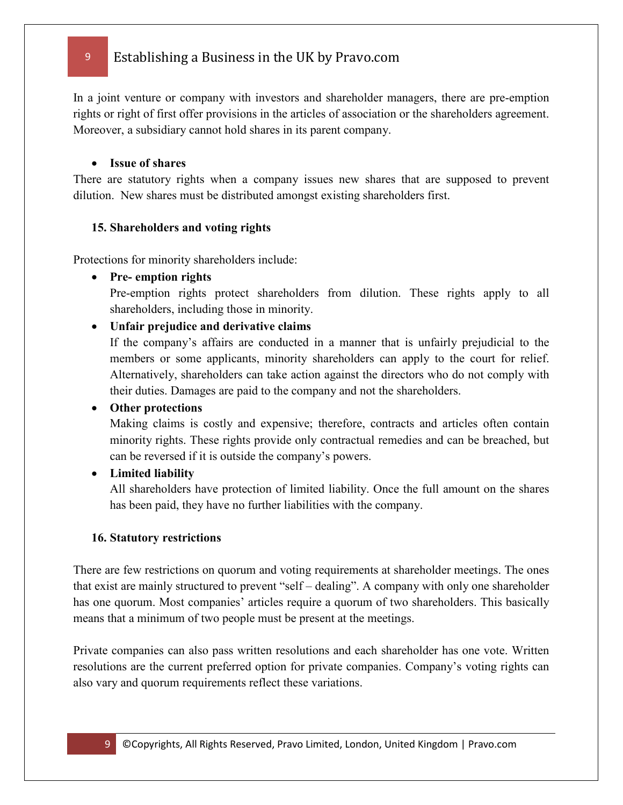In a joint venture or company with investors and shareholder managers, there are pre-emption rights or right of first offer provisions in the articles of association or the shareholders agreement. Moreover, a subsidiary cannot hold shares in its parent company.

#### • **Issue of shares**

There are statutory rights when a company issues new shares that are supposed to prevent dilution. New shares must be distributed amongst existing shareholders first.

#### **15. Shareholders and voting rights**

Protections for minority shareholders include:

• **Pre- emption rights**

Pre-emption rights protect shareholders from dilution. These rights apply to all shareholders, including those in minority.

• **Unfair prejudice and derivative claims**

If the company's affairs are conducted in a manner that is unfairly prejudicial to the members or some applicants, minority shareholders can apply to the court for relief. Alternatively, shareholders can take action against the directors who do not comply with their duties. Damages are paid to the company and not the shareholders.

#### • **Other protections**

Making claims is costly and expensive; therefore, contracts and articles often contain minority rights. These rights provide only contractual remedies and can be breached, but can be reversed if it is outside the company's powers.

#### • **Limited liability**

All shareholders have protection of limited liability. Once the full amount on the shares has been paid, they have no further liabilities with the company.

#### **16. Statutory restrictions**

There are few restrictions on quorum and voting requirements at shareholder meetings. The ones that exist are mainly structured to prevent "self – dealing". A company with only one shareholder has one quorum. Most companies' articles require a quorum of two shareholders. This basically means that a minimum of two people must be present at the meetings.

Private companies can also pass written resolutions and each shareholder has one vote. Written resolutions are the current preferred option for private companies. Company's voting rights can also vary and quorum requirements reflect these variations.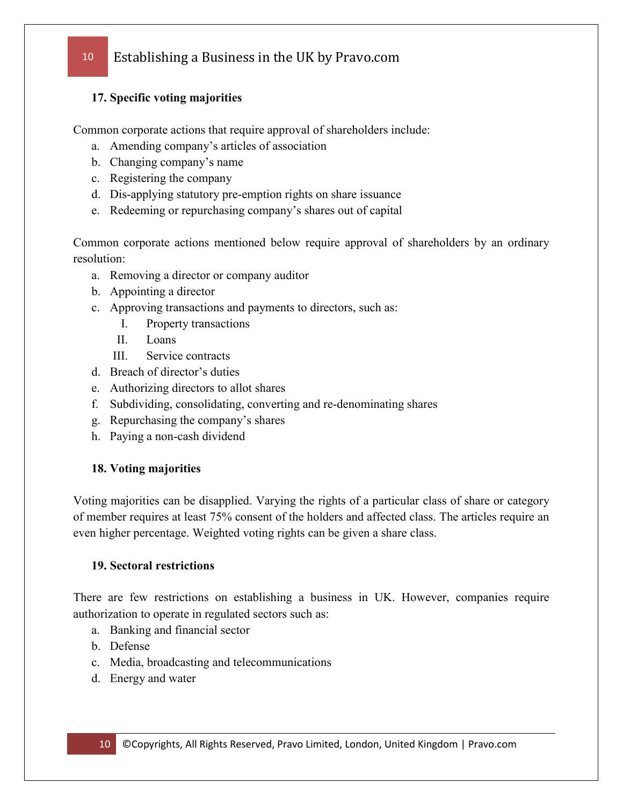#### **17. Specific voting majorities**

Common corporate actions that require approval of shareholders include:

- a. Amending company's articles of association
- b. Changing company's name
- c. Registering the company
- d. Dis-applying statutory pre-emption rights on share issuance
- e. Redeeming or repurchasing company's shares out of capital

Common corporate actions mentioned below require approval of shareholders by an ordinary resolution:

- a. Removing a director or company auditor
- b. Appointing a director
- c. Approving transactions and payments to directors, such as:
	- I. Property transactions
	- II. Loans
	- III. Service contracts
- d. Breach of director's duties
- e. Authorizing directors to allot shares
- f. Subdividing, consolidating, converting and re-denominating shares
- g. Repurchasing the company's shares
- h. Paying a non-cash dividend

#### **18. Voting majorities**

Voting majorities can be disapplied. Varying the rights of a particular class of share or category of member requires at least 75% consent of the holders and affected class. The articles require an even higher percentage. Weighted voting rights can be given a share class.

#### **19. Sectoral restrictions**

There are few restrictions on establishing a business in UK. However, companies require authorization to operate in regulated sectors such as:

- a. Banking and financial sector
- b. Defense
- c. Media, broadcasting and telecommunications
- d. Energy and water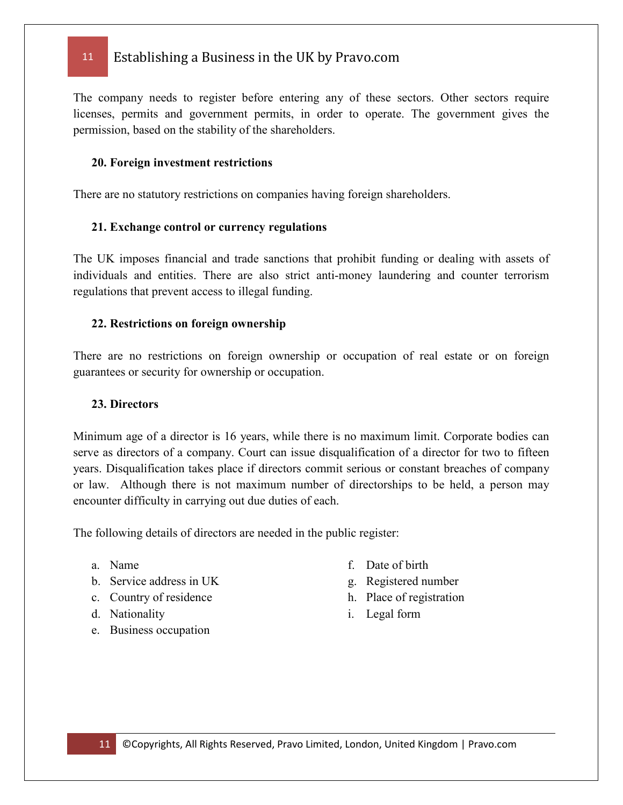The company needs to register before entering any of these sectors. Other sectors require licenses, permits and government permits, in order to operate. The government gives the permission, based on the stability of the shareholders.

#### **20. Foreign investment restrictions**

There are no statutory restrictions on companies having foreign shareholders.

#### **21. Exchange control or currency regulations**

The UK imposes financial and trade sanctions that prohibit funding or dealing with assets of individuals and entities. There are also strict anti-money laundering and counter terrorism regulations that prevent access to illegal funding.

#### **22. Restrictions on foreign ownership**

There are no restrictions on foreign ownership or occupation of real estate or on foreign guarantees or security for ownership or occupation.

#### **23. Directors**

Minimum age of a director is 16 years, while there is no maximum limit. Corporate bodies can serve as directors of a company. Court can issue disqualification of a director for two to fifteen years. Disqualification takes place if directors commit serious or constant breaches of company or law. Although there is not maximum number of directorships to be held, a person may encounter difficulty in carrying out due duties of each.

The following details of directors are needed in the public register:

- a. Name
- b. Service address in UK
- c. Country of residence
- d. Nationality
- e. Business occupation
- f. Date of birth
- g. Registered number
- h. Place of registration
- i. Legal form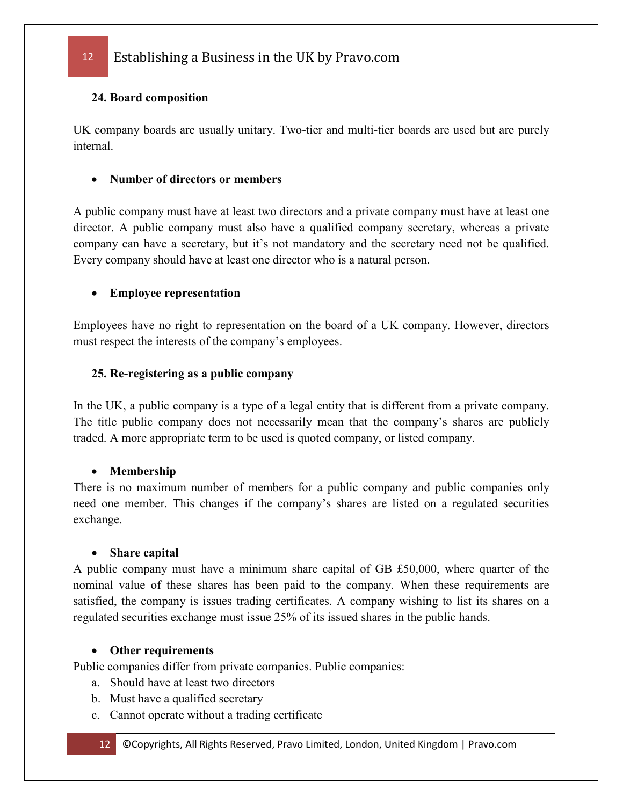### **24. Board composition**

UK company boards are usually unitary. Two-tier and multi-tier boards are used but are purely internal.

### • **Number of directors or members**

A public company must have at least two directors and a private company must have at least one director. A public company must also have a qualified company secretary, whereas a private company can have a secretary, but it's not mandatory and the secretary need not be qualified. Every company should have at least one director who is a natural person.

### • **Employee representation**

Employees have no right to representation on the board of a UK company. However, directors must respect the interests of the company's employees.

### **25. Re-registering as a public company**

In the UK, a public company is a type of a legal entity that is different from a private company. The title public company does not necessarily mean that the company's shares are publicly traded. A more appropriate term to be used is quoted company, or listed company.

#### • **Membership**

There is no maximum number of members for a public company and public companies only need one member. This changes if the company's shares are listed on a regulated securities exchange.

#### • **Share capital**

A public company must have a minimum share capital of GB £50,000, where quarter of the nominal value of these shares has been paid to the company. When these requirements are satisfied, the company is issues trading certificates. A company wishing to list its shares on a regulated securities exchange must issue 25% of its issued shares in the public hands.

### • **Other requirements**

Public companies differ from private companies. Public companies:

- a. Should have at least two directors
- b. Must have a qualified secretary
- c. Cannot operate without a trading certificate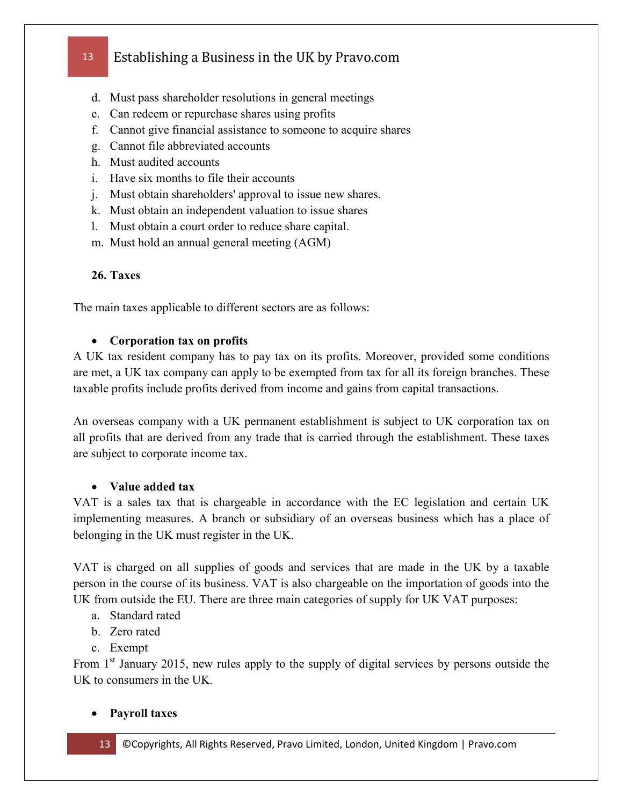- d. Must pass shareholder resolutions in general meetings
- e. Can redeem or repurchase shares using profits
- f. Cannot give financial assistance to someone to acquire shares
- g. Cannot file abbreviated accounts
- h. Must audited accounts
- i. Have six months to file their accounts
- j. Must obtain shareholders' approval to issue new shares.
- k. Must obtain an independent valuation to issue shares
- l. Must obtain a court order to reduce share capital.
- m. Must hold an annual general meeting (AGM)

### **26. Taxes**

The main taxes applicable to different sectors are as follows:

#### • **Corporation tax on profits**

A UK tax resident company has to pay tax on its profits. Moreover, provided some conditions are met, a UK tax company can apply to be exempted from tax for all its foreign branches. These taxable profits include profits derived from income and gains from capital transactions.

An overseas company with a UK permanent establishment is subject to UK corporation tax on all profits that are derived from any trade that is carried through the establishment. These taxes are subject to corporate income tax.

#### • **Value added tax**

VAT is a sales tax that is chargeable in accordance with the EC legislation and certain UK implementing measures. A branch or subsidiary of an overseas business which has a place of belonging in the UK must register in the UK.

VAT is charged on all supplies of goods and services that are made in the UK by a taxable person in the course of its business. VAT is also chargeable on the importation of goods into the UK from outside the EU. There are three main categories of supply for UK VAT purposes:

- a. Standard rated
- b. Zero rated
- c. Exempt

From 1<sup>st</sup> January 2015, new rules apply to the supply of digital services by persons outside the UK to consumers in the UK.

#### • **Payroll taxes**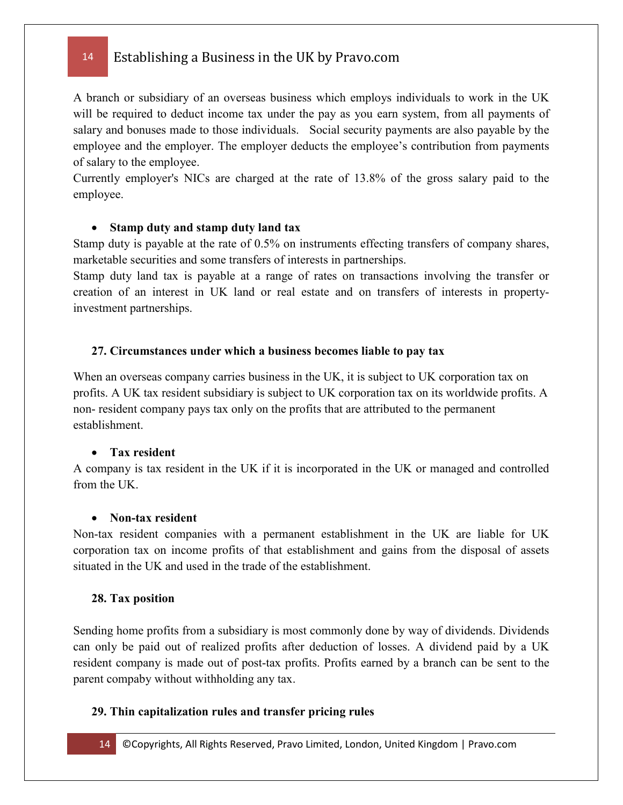A branch or subsidiary of an overseas business which employs individuals to work in the UK will be required to deduct income tax under the pay as you earn system, from all payments of salary and bonuses made to those individuals. Social security payments are also payable by the employee and the employer. The employer deducts the employee's contribution from payments of salary to the employee.

Currently employer's NICs are charged at the rate of 13.8% of the gross salary paid to the employee.

#### • **Stamp duty and stamp duty land tax**

Stamp duty is payable at the rate of 0.5% on instruments effecting transfers of company shares, marketable securities and some transfers of interests in partnerships.

Stamp duty land tax is payable at a range of rates on transactions involving the transfer or creation of an interest in UK land or real estate and on transfers of interests in propertyinvestment partnerships.

#### **27. Circumstances under which a business becomes liable to pay tax**

When an overseas company carries business in the UK, it is subject to UK corporation tax on profits. A UK tax resident subsidiary is subject to UK corporation tax on its worldwide profits. A non- resident company pays tax only on the profits that are attributed to the permanent establishment.

#### • **Tax resident**

A company is tax resident in the UK if it is incorporated in the UK or managed and controlled from the UK.

#### • **Non-tax resident**

Non-tax resident companies with a permanent establishment in the UK are liable for UK corporation tax on income profits of that establishment and gains from the disposal of assets situated in the UK and used in the trade of the establishment.

#### **28. Tax position**

Sending home profits from a subsidiary is most commonly done by way of dividends. Dividends can only be paid out of realized profits after deduction of losses. A dividend paid by a UK resident company is made out of post-tax profits. Profits earned by a branch can be sent to the parent compaby without withholding any tax.

#### **29. Thin capitalization rules and transfer pricing rules**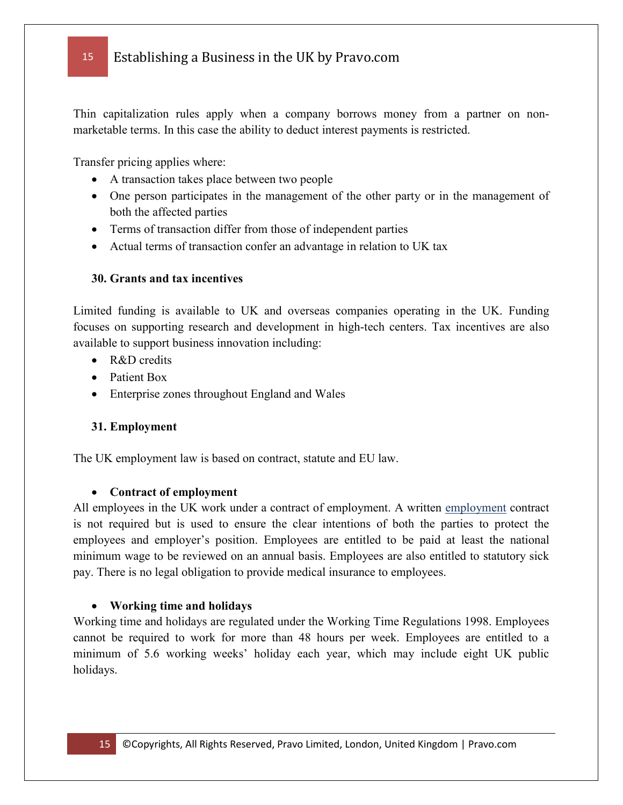Thin capitalization rules apply when a company borrows money from a partner on nonmarketable terms. In this case the ability to deduct interest payments is restricted.

Transfer pricing applies where:

- A transaction takes place between two people
- One person participates in the management of the other party or in the management of both the affected parties
- Terms of transaction differ from those of independent parties
- Actual terms of transaction confer an advantage in relation to UK tax

#### **30. Grants and tax incentives**

Limited funding is available to UK and overseas companies operating in the UK. Funding focuses on supporting research and development in high-tech centers. Tax incentives are also available to support business innovation including:

- R&D credits
- Patient Box
- Enterprise zones throughout England and Wales

#### **31. Employment**

The UK employment law is based on contract, statute and EU law.

#### • **Contract of employment**

All employees in the UK work under a contract of employment. A written [employment](http://www.lifecareer.com/) contract is not required but is used to ensure the clear intentions of both the parties to protect the employees and employer's position. Employees are entitled to be paid at least the national minimum wage to be reviewed on an annual basis. Employees are also entitled to statutory sick pay. There is no legal obligation to provide medical insurance to employees.

#### • **Working time and holidays**

Working time and holidays are regulated under the Working Time Regulations 1998. Employees cannot be required to work for more than 48 hours per week. Employees are entitled to a minimum of 5.6 working weeks' holiday each year, which may include eight UK public holidays.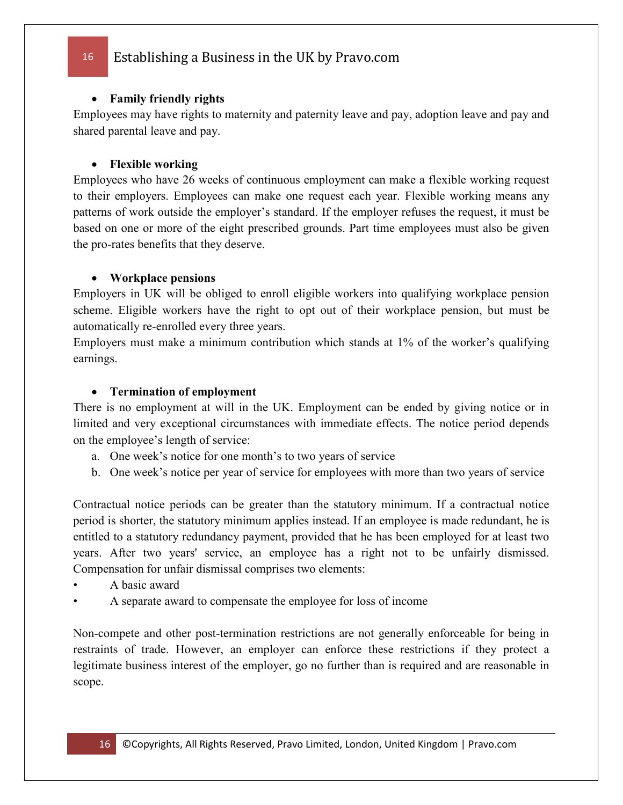#### • **Family friendly rights**

Employees may have rights to maternity and paternity leave and pay, adoption leave and pay and shared parental leave and pay.

#### • **Flexible working**

Employees who have 26 weeks of continuous employment can make a flexible working request to their employers. Employees can make one request each year. Flexible working means any patterns of work outside the employer's standard. If the employer refuses the request, it must be based on one or more of the eight prescribed grounds. Part time employees must also be given the pro-rates benefits that they deserve.

#### • **Workplace pensions**

Employers in UK will be obliged to enroll eligible workers into qualifying workplace pension scheme. Eligible workers have the right to opt out of their workplace pension, but must be automatically re-enrolled every three years.

Employers must make a minimum contribution which stands at 1% of the worker's qualifying earnings.

#### • **Termination of employment**

There is no employment at will in the UK. Employment can be ended by giving notice or in limited and very exceptional circumstances with immediate effects. The notice period depends on the employee's length of service:

- a. One week's notice for one month's to two years of service
- b. One week's notice per year of service for employees with more than two years of service

Contractual notice periods can be greater than the statutory minimum. If a contractual notice period is shorter, the statutory minimum applies instead. If an employee is made redundant, he is entitled to a statutory redundancy payment, provided that he has been employed for at least two years. After two years' service, an employee has a right not to be unfairly dismissed. Compensation for unfair dismissal comprises two elements:

- A basic award
- A separate award to compensate the employee for loss of income

Non-compete and other post-termination restrictions are not generally enforceable for being in restraints of trade. However, an employer can enforce these restrictions if they protect a legitimate business interest of the employer, go no further than is required and are reasonable in scope.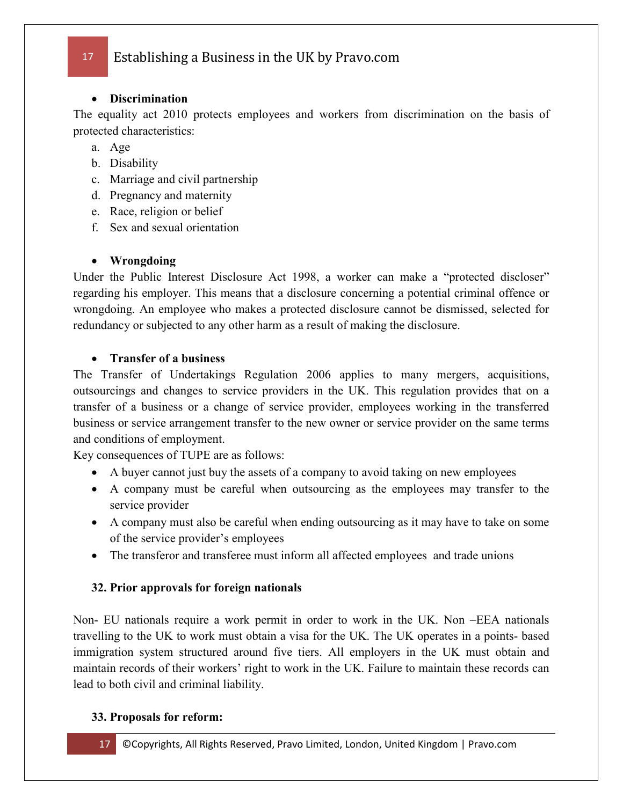### • **Discrimination**

The equality act 2010 protects employees and workers from discrimination on the basis of protected characteristics:

- a. Age
- b. Disability
- c. Marriage and civil partnership
- d. Pregnancy and maternity
- e. Race, religion or belief
- f. Sex and sexual orientation

### • **Wrongdoing**

Under the Public Interest Disclosure Act 1998, a worker can make a "protected discloser" regarding his employer. This means that a disclosure concerning a potential criminal offence or wrongdoing. An employee who makes a protected disclosure cannot be dismissed, selected for redundancy or subjected to any other harm as a result of making the disclosure.

### • **Transfer of a business**

The Transfer of Undertakings Regulation 2006 applies to many mergers, acquisitions, outsourcings and changes to service providers in the UK. This regulation provides that on a transfer of a business or a change of service provider, employees working in the transferred business or service arrangement transfer to the new owner or service provider on the same terms and conditions of employment.

Key consequences of TUPE are as follows:

- A buyer cannot just buy the assets of a company to avoid taking on new employees
- A company must be careful when outsourcing as the employees may transfer to the service provider
- A company must also be careful when ending outsourcing as it may have to take on some of the service provider's employees
- The transferor and transferee must inform all affected employees and trade unions

### **32. Prior approvals for foreign nationals**

Non- EU nationals require a work permit in order to work in the UK. Non –EEA nationals travelling to the UK to work must obtain a visa for the UK. The UK operates in a points- based immigration system structured around five tiers. All employers in the UK must obtain and maintain records of their workers' right to work in the UK. Failure to maintain these records can lead to both civil and criminal liability.

### **33. Proposals for reform:**